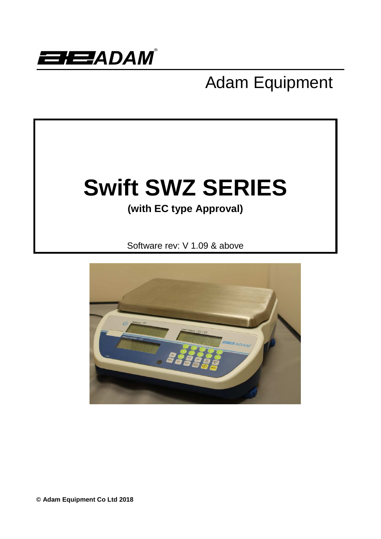

# Adam Equipment



**© Adam Equipment Co Ltd 2018**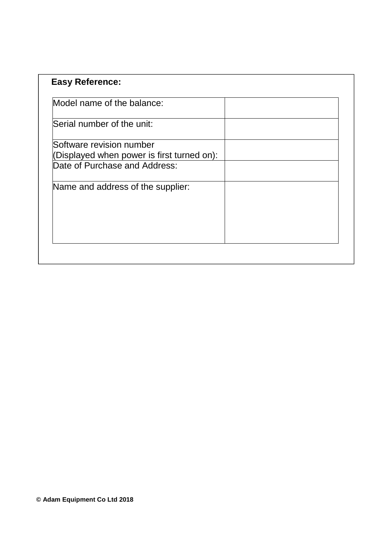| <b>Easy Reference:</b>                     |  |
|--------------------------------------------|--|
| Model name of the balance:                 |  |
| Serial number of the unit:                 |  |
| Software revision number                   |  |
| (Displayed when power is first turned on): |  |
| Date of Purchase and Address:              |  |
| Name and address of the supplier:          |  |
|                                            |  |
|                                            |  |
|                                            |  |
|                                            |  |
|                                            |  |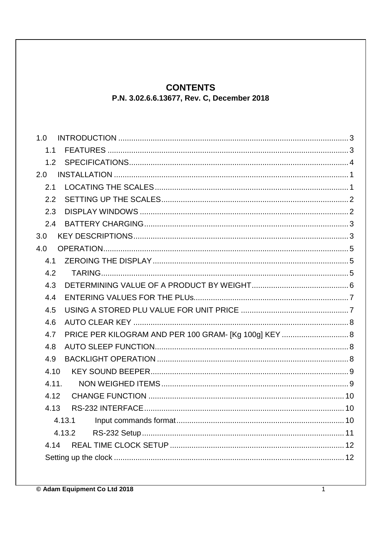## **CONTENTS**

P.N. 3.02.6.6.13677, Rev. C, December 2018

| 1.0   |                                                       |  |
|-------|-------------------------------------------------------|--|
| 1.1   |                                                       |  |
| 1.2   |                                                       |  |
| 2.0   |                                                       |  |
| 2.1   |                                                       |  |
| 2.2   |                                                       |  |
| 2.3   |                                                       |  |
| 2.4   |                                                       |  |
| 3.0   |                                                       |  |
| 4.0   |                                                       |  |
| 4.1   |                                                       |  |
| 4.2   |                                                       |  |
| 4.3   |                                                       |  |
| 4.4   |                                                       |  |
| 4.5   |                                                       |  |
| 4.6   |                                                       |  |
| 4.7   | PRICE PER KILOGRAM AND PER 100 GRAM- [Kg 100g] KEY  8 |  |
| 4.8   |                                                       |  |
| 4.9   |                                                       |  |
| 4.10  |                                                       |  |
| 4.11. |                                                       |  |
| 4.12  |                                                       |  |
| 4.13  |                                                       |  |
|       | 4.13.1                                                |  |
|       | 4.13.2                                                |  |
| 4.14  |                                                       |  |
|       |                                                       |  |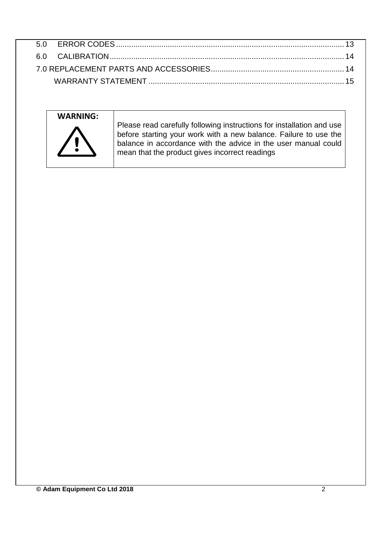

Please read carefully following instructions for installation and use before starting your work with a new balance. Failure to use the balance in accordance with the advice in the user manual could mean that the product gives incorrect readings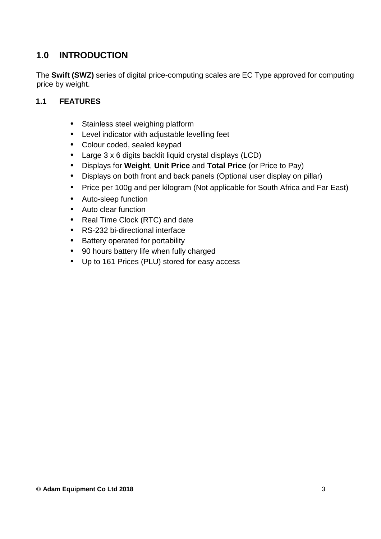## **1.0 INTRODUCTION**

The **Swift (SWZ)** series of digital price-computing scales are EC Type approved for computing price by weight.

#### **1.1 FEATURES**

- Stainless steel weighing platform
- Level indicator with adjustable levelling feet
- Colour coded, sealed keypad
- Large 3 x 6 digits backlit liquid crystal displays (LCD)
- Displays for **Weight**, **Unit Price** and **Total Price** (or Price to Pay)
- Displays on both front and back panels (Optional user display on pillar)
- Price per 100g and per kilogram (Not applicable for South Africa and Far East)
- Auto-sleep function
- Auto clear function
- Real Time Clock (RTC) and date
- RS-232 bi-directional interface
- Battery operated for portability
- 90 hours battery life when fully charged
- Up to 161 Prices (PLU) stored for easy access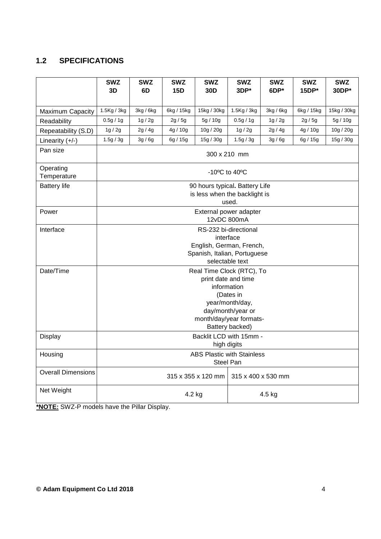## **1.2 SPECIFICATIONS**

|                           | <b>SWZ</b><br>3D                                                                                                                                                                      | <b>SWZ</b><br>6D                                                                               | <b>SWZ</b><br>15D | <b>SWZ</b><br>30 <sub>D</sub>                                   | <b>SWZ</b><br>3DP*                    | <b>SWZ</b><br>6DP* | <b>SWZ</b><br>15DP* | <b>SWZ</b><br>30DP* |  |
|---------------------------|---------------------------------------------------------------------------------------------------------------------------------------------------------------------------------------|------------------------------------------------------------------------------------------------|-------------------|-----------------------------------------------------------------|---------------------------------------|--------------------|---------------------|---------------------|--|
| Maximum Capacity          | 1.5Kg / 3kg                                                                                                                                                                           | 3kg / 6kg                                                                                      | 6kg / 15kg        | 15kg / 30kg                                                     | 1.5Kg / 3kg                           | 3kg / 6kg          | 6kg / 15kg          | 15kg / 30kg         |  |
| Readability               | 0.5g/1g                                                                                                                                                                               | 1g/2g                                                                                          | 2g/5g             | 5g / 10g                                                        | 0.5g / 1g                             | 1g/2g              | 2g/5g               | 5g/10g              |  |
| Repeatability (S.D)       | 1g/2g                                                                                                                                                                                 | 2g/4g                                                                                          | 4g / 10g          | 10g / 20g                                                       | 1g/2g                                 | 2g/4g              | 4g / 10g            | 10g / 20g           |  |
| Linearity $(+/-)$         | 1.5g / 3g                                                                                                                                                                             | 3g/6g                                                                                          | 6g / 15g          | 15g / 30g                                                       | 1.5g / 3g                             | 3g/6g              | 6g/15g              | 15g / 30g           |  |
| Pan size                  |                                                                                                                                                                                       |                                                                                                |                   |                                                                 | 300 x 210 mm                          |                    |                     |                     |  |
| Operating<br>Temperature  |                                                                                                                                                                                       |                                                                                                |                   |                                                                 | $-10^{\circ}$ C to $40^{\circ}$ C     |                    |                     |                     |  |
| <b>Battery life</b>       |                                                                                                                                                                                       |                                                                                                |                   | 90 hours typical. Battery Life<br>is less when the backlight is | used.                                 |                    |                     |                     |  |
| Power                     |                                                                                                                                                                                       |                                                                                                |                   |                                                                 | External power adapter<br>12vDC 800mA |                    |                     |                     |  |
| Interface                 |                                                                                                                                                                                       | RS-232 bi-directional<br>interface<br>English, German, French,<br>Spanish, Italian, Portuguese |                   |                                                                 |                                       |                    |                     |                     |  |
| Date/Time                 | selectable text<br>Real Time Clock (RTC), To<br>print date and time<br>information<br>(Dates in<br>year/month/day,<br>day/month/year or<br>month/day/year formats-<br>Battery backed) |                                                                                                |                   |                                                                 |                                       |                    |                     |                     |  |
| Display                   | Backlit LCD with 15mm -<br>high digits                                                                                                                                                |                                                                                                |                   |                                                                 |                                       |                    |                     |                     |  |
| Housing                   | <b>ABS Plastic with Stainless</b><br><b>Steel Pan</b>                                                                                                                                 |                                                                                                |                   |                                                                 |                                       |                    |                     |                     |  |
| <b>Overall Dimensions</b> | 315 x 355 x 120 mm<br>315 x 400 x 530 mm                                                                                                                                              |                                                                                                |                   |                                                                 |                                       |                    |                     |                     |  |
| Net Weight                |                                                                                                                                                                                       | 4.2 kg<br>4.5 kg                                                                               |                   |                                                                 |                                       |                    |                     |                     |  |

**\*NOTE:** SWZ-P models have the Pillar Display.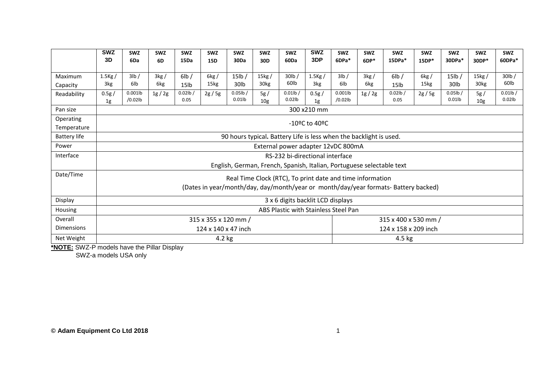|                     | <b>SWZ</b>                                                                         | <b>SWZ</b>                                                         | <b>SWZ</b> | <b>SWZ</b>       | <b>SWZ</b> | <b>SWZ</b>  | <b>SWZ</b>       | <b>SWZ</b>                                                            | <b>SWZ</b>                                | <b>SWZ</b> | <b>SWZ</b> | <b>SWZ</b>       | <b>SWZ</b> | <b>SWZ</b>  | <b>SWZ</b>       | <b>SWZ</b>  |
|---------------------|------------------------------------------------------------------------------------|--------------------------------------------------------------------|------------|------------------|------------|-------------|------------------|-----------------------------------------------------------------------|-------------------------------------------|------------|------------|------------------|------------|-------------|------------------|-------------|
|                     | 3D                                                                                 | 6Da                                                                | 6D         | 15Da             | <b>15D</b> | 30Da        | 30 <sub>D</sub>  | 60Da                                                                  | 3DP                                       | 6DPa*      | $6DP*$     | 15DPa*           | 15DP*      | 30DPa*      | 30DP*            | 60DPa*      |
|                     |                                                                                    |                                                                    |            |                  |            |             |                  |                                                                       |                                           |            |            |                  |            |             |                  |             |
| Maximum             | $1.5$ Kg $/$                                                                       | 3lb/                                                               | 3kg/       | 6lb/             | 6kg/       | $15$ lb /   | 15kg/            | $30$ lb $/$                                                           | $1.5$ Kg $/$                              | 3lb/       | 3kg/       | 6lb/             | 6kg/       | $15$ lb $/$ | 15kg/            | $30$ lb /   |
| Capacity            | 3kg                                                                                | 6lb                                                                | 6kg        | 15 <sub>lb</sub> | 15kg       | 30lb        | 30 <sub>kg</sub> | 60 <sub>lb</sub>                                                      | 3kg                                       | 6lb        | 6kg        | 15 <sub>1b</sub> | 15kg       | 30lb        | 30 <sub>kg</sub> | 60lb        |
| Readability         | 0.5g/                                                                              | $0.001$ lb                                                         | 1g/2g      | $0.02$ lb /      | 2g/5g      | $0.05$ lb / | 5g/              | $0.01$ lb /                                                           | 0.5g/                                     | $0.001$ lb | 1g/2g      | $0.02$ lb/       | 2g/5g      | $0.05$ lb / | 5g/              | $0.01$ lb / |
|                     | 1g                                                                                 | /0.02lb                                                            |            | 0.05             |            | $0.01$ lb   | 10 <sub>g</sub>  | $0.02$ lb                                                             | 1g                                        | $/0.02$ lb |            | 0.05             |            | $0.01$ lb   | 10 <sub>g</sub>  | $0.02$ lb   |
| Pan size            |                                                                                    |                                                                    |            |                  |            |             |                  |                                                                       | 300 x210 mm                               |            |            |                  |            |             |                  |             |
| Operating           |                                                                                    |                                                                    |            |                  |            |             |                  |                                                                       | $-10$ <sup>o</sup> C to 40 <sup>o</sup> C |            |            |                  |            |             |                  |             |
| Temperature         |                                                                                    |                                                                    |            |                  |            |             |                  |                                                                       |                                           |            |            |                  |            |             |                  |             |
| <b>Battery life</b> |                                                                                    | 90 hours typical. Battery Life is less when the backlight is used. |            |                  |            |             |                  |                                                                       |                                           |            |            |                  |            |             |                  |             |
| Power               |                                                                                    |                                                                    |            |                  |            |             |                  | External power adapter 12vDC 800mA                                    |                                           |            |            |                  |            |             |                  |             |
| Interface           |                                                                                    |                                                                    |            |                  |            |             |                  | RS-232 bi-directional interface                                       |                                           |            |            |                  |            |             |                  |             |
|                     |                                                                                    |                                                                    |            |                  |            |             |                  | English, German, French, Spanish, Italian, Portuguese selectable text |                                           |            |            |                  |            |             |                  |             |
| Date/Time           |                                                                                    | Real Time Clock (RTC), To print date and time information          |            |                  |            |             |                  |                                                                       |                                           |            |            |                  |            |             |                  |             |
|                     |                                                                                    |                                                                    |            |                  |            |             |                  |                                                                       |                                           |            |            |                  |            |             |                  |             |
|                     | (Dates in year/month/day, day/month/year or month/day/year formats-Battery backed) |                                                                    |            |                  |            |             |                  |                                                                       |                                           |            |            |                  |            |             |                  |             |
| Display             |                                                                                    |                                                                    |            |                  |            |             |                  | 3 x 6 digits backlit LCD displays                                     |                                           |            |            |                  |            |             |                  |             |
| Housing             |                                                                                    | ABS Plastic with Stainless Steel Pan                               |            |                  |            |             |                  |                                                                       |                                           |            |            |                  |            |             |                  |             |
| Overall             | 315 x 355 x 120 mm /<br>315 x 400 x 530 mm /                                       |                                                                    |            |                  |            |             |                  |                                                                       |                                           |            |            |                  |            |             |                  |             |
| <b>Dimensions</b>   | 124 x 140 x 47 inch<br>124 x 158 x 209 inch                                        |                                                                    |            |                  |            |             |                  |                                                                       |                                           |            |            |                  |            |             |                  |             |
| Net Weight          |                                                                                    |                                                                    |            |                  | $4.2$ kg   |             |                  |                                                                       |                                           |            |            | $4.5$ kg         |            |             |                  |             |

**\*NOTE:** SWZ-P models have the Pillar Display SWZ-a models USA only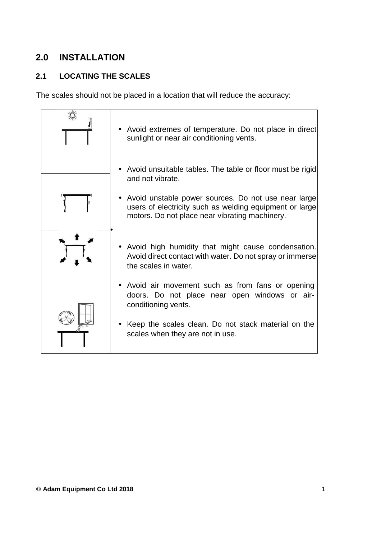## **2.0 INSTALLATION**

## **2.1 LOCATING THE SCALES**

The scales should not be placed in a location that will reduce the accuracy:

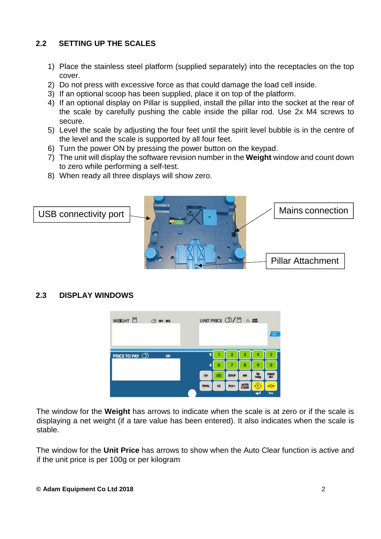#### **2.2 SETTING UP THE SCALES**

- 1) Place the stainless steel platform (supplied separately) into the receptacles on the top cover.
- 2) Do not press with excessive force as that could damage the load cell inside.
- 3) If an optional scoop has been supplied, place it on top of the platform.
- 4) If an optional display on Pillar is supplied, install the pillar into the socket at the rear of the scale by carefully pushing the cable inside the pillar rod. Use 2x M4 screws to secure.
- 5) Level the scale by adjusting the four feet until the spirit level bubble is in the centre of the level and the scale is supported by all four feet.
- 6) Turn the power ON by pressing the power button on the keypad.
- 7) The unit will display the software revision number in the **Weight** window and count down to zero while performing a self-test.
- 8) When ready all three displays will show zero.



#### **2.3 DISPLAY WINDOWS**

| WE <b>IGHT</b> 日<br><b>CD W1 W2</b>    | UNIT PRICE ①/目 点 |    |              |             |                  |              |
|----------------------------------------|------------------|----|--------------|-------------|------------------|--------------|
|                                        |                  |    |              |             |                  |              |
| <b>PRICE TO PAY CD</b><br>$\mathbf{a}$ |                  |    |              |             |                  |              |
|                                        |                  |    |              |             |                  |              |
|                                        | $\mathbf{G}$     | 00 | <b>SETUP</b> | MR          | 100 <sub>9</sub> | <b>PRINT</b> |
|                                        | <b>TOTAL</b>     | œ  | PLU+         | <b>AUTO</b> |                  |              |
|                                        |                  |    |              |             |                  | Exc          |

The window for the **Weight** has arrows to indicate when the scale is at zero or if the scale is displaying a net weight (if a tare value has been entered). It also indicates when the scale is stable.

The window for the **Unit Price** has arrows to show when the Auto Clear function is active and if the unit price is per 100g or per kilogram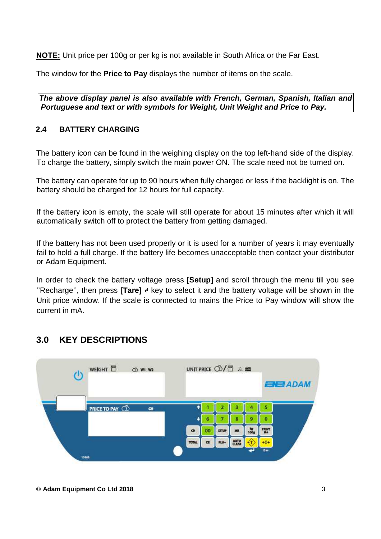**NOTE:** Unit price per 100g or per kg is not available in South Africa or the Far East.

The window for the **Price to Pay** displays the number of items on the scale.

**The above display panel is also available with French, German, Spanish, Italian and Portuguese and text or with symbols for Weight, Unit Weight and Price to Pay.** 

#### **2.4 BATTERY CHARGING**

The battery icon can be found in the weighing display on the top left-hand side of the display. To charge the battery, simply switch the main power ON. The scale need not be turned on.

The battery can operate for up to 90 hours when fully charged or less if the backlight is on. The battery should be charged for 12 hours for full capacity.

If the battery icon is empty, the scale will still operate for about 15 minutes after which it will automatically switch off to protect the battery from getting damaged.

If the battery has not been used properly or it is used for a number of years it may eventually fail to hold a full charge. If the battery life becomes unacceptable then contact your distributor or Adam Equipment.

In order to check the battery voltage press **[Setup]** and scroll through the menu till you see ''Recharge'', then press **[Tare]** ↵ key to select it and the battery voltage will be shown in the Unit price window. If the scale is connected to mains the Price to Pay window will show the current in mA.

## **3.0 KEY DESCRIPTIONS**

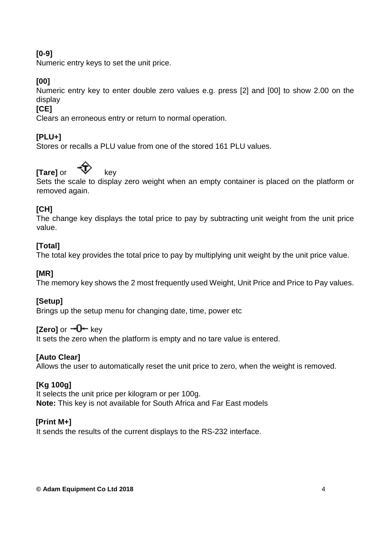#### **[0-9]**

Numeric entry keys to set the unit price.

#### **[00]**

Numeric entry key to enter double zero values e.g. press [2] and [00] to show 2.00 on the display

#### **[CE]**

Clears an erroneous entry or return to normal operation.

#### **[PLU+]**

Stores or recalls a PLU value from one of the stored 161 PLU values.

## **[Tare]** or  $\sqrt{ }$  key

Sets the scale to display zero weight when an empty container is placed on the platform or removed again.

#### **[CH]**

The change key displays the total price to pay by subtracting unit weight from the unit price value.

#### **[Total]**

The total key provides the total price to pay by multiplying unit weight by the unit price value.

#### **[MR]**

The memory key shows the 2 most frequently used Weight, Unit Price and Price to Pay values.

#### **[Setup]**

Brings up the setup menu for changing date, time, power etc

#### **[Zero]** or  $\rightarrow 0$  key

It sets the zero when the platform is empty and no tare value is entered.

#### **[Auto Clear]**

Allows the user to automatically reset the unit price to zero, when the weight is removed.

#### **[Kg 100g]**

It selects the unit price per kilogram or per 100g. **Note:** This key is not available for South Africa and Far East models

#### **[Print M+]**

It sends the results of the current displays to the RS-232 interface.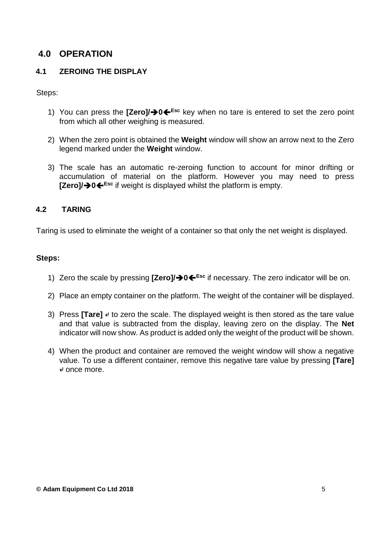## **4.0 OPERATION**

#### **4.1 ZEROING THE DISPLAY**

Steps:

- 1) You can press the **[Zero]/0Esc** key when no tare is entered to set the zero point from which all other weighing is measured.
- 2) When the zero point is obtained the **Weight** window will show an arrow next to the Zero legend marked under the **Weight** window.
- 3) The scale has an automatic re-zeroing function to account for minor drifting or accumulation of material on the platform. However you may need to press **[Zero]/0Esc** if weight is displayed whilst the platform is empty.

#### **4.2 TARING**

Taring is used to eliminate the weight of a container so that only the net weight is displayed.

#### **Steps:**

- 1) Zero the scale by pressing **[Zero]/0Esc** if necessary. The zero indicator will be on.
- 2) Place an empty container on the platform. The weight of the container will be displayed.
- 3) Press **[Tare]** ↵ to zero the scale. The displayed weight is then stored as the tare value and that value is subtracted from the display, leaving zero on the display. The **Net**  indicator will now show. As product is added only the weight of the product will be shown.
- 4) When the product and container are removed the weight window will show a negative value. To use a different container, remove this negative tare value by pressing **[Tare]**  ↵ once more.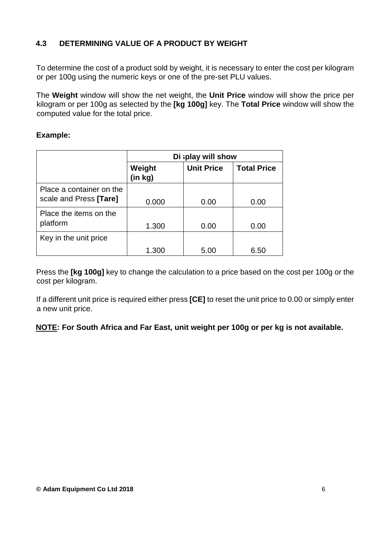#### **4.3 DETERMINING VALUE OF A PRODUCT BY WEIGHT**

To determine the cost of a product sold by weight, it is necessary to enter the cost per kilogram or per 100g using the numeric keys or one of the pre-set PLU values.

The **Weight** window will show the net weight, the **Unit Price** window will show the price per kilogram or per 100g as selected by the **[kg 100g]** key. The **Total Price** window will show the computed value for the total price.

#### **Example:**

|                                                    | Di splay will show |                   |                    |  |  |  |  |
|----------------------------------------------------|--------------------|-------------------|--------------------|--|--|--|--|
|                                                    | Weight<br>(in kg)  | <b>Unit Price</b> | <b>Total Price</b> |  |  |  |  |
| Place a container on the<br>scale and Press [Tare] | 0.000              | 0.00              | 0.00               |  |  |  |  |
| Place the items on the<br>platform                 | 1.300              | 0.00              | 0.00               |  |  |  |  |
| Key in the unit price                              |                    |                   |                    |  |  |  |  |
|                                                    | 1.300              | 5.00              | 6.50               |  |  |  |  |

Press the **[kg 100g]** key to change the calculation to a price based on the cost per 100g or the cost per kilogram.

If a different unit price is required either press **[CE]** to reset the unit price to 0.00 or simply enter a new unit price.

**NOTE: For South Africa and Far East, unit weight per 100g or per kg is not available.**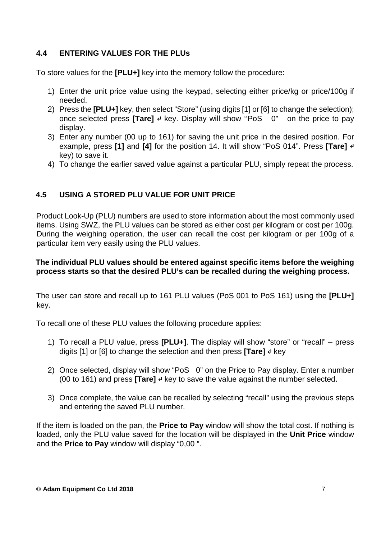#### **4.4 ENTERING VALUES FOR THE PLUs**

To store values for the **[PLU+]** key into the memory follow the procedure:

- 1) Enter the unit price value using the keypad, selecting either price/kg or price/100g if needed.
- 2) Press the **[PLU+]** key, then select "Store" (using digits [1] or [6] to change the selection); once selected press **[Tare]** ↵ key. Display will show "PoS 0" on the price to pay display.
- 3) Enter any number (00 up to 161) for saving the unit price in the desired position. For example, press **[1]** and **[4]** for the position 14. It will show "PoS 014". Press **[Tare]** ↵ key) to save it.
- 4) To change the earlier saved value against a particular PLU, simply repeat the process.

#### **4.5 USING A STORED PLU VALUE FOR UNIT PRICE**

Product Look-Up (PLU) numbers are used to store information about the most commonly used items. Using SWZ, the PLU values can be stored as either cost per kilogram or cost per 100g. During the weighing operation, the user can recall the cost per kilogram or per 100g of a particular item very easily using the PLU values.

#### **The individual PLU values should be entered against specific items before the weighing process starts so that the desired PLU's can be recalled during the weighing process.**

The user can store and recall up to 161 PLU values (PoS 001 to PoS 161) using the **[PLU+]** key.

To recall one of these PLU values the following procedure applies:

- 1) To recall a PLU value, press **[PLU+]**. The display will show "store" or "recall" press digits [1] or [6] to change the selection and then press **[Tare]** ↵ key
- 2) Once selected, display will show "PoS 0" on the Price to Pay display. Enter a number (00 to 161) and press **[Tare]** ↵ key to save the value against the number selected.
- 3) Once complete, the value can be recalled by selecting "recall" using the previous steps and entering the saved PLU number.

If the item is loaded on the pan, the **Price to Pay** window will show the total cost. If nothing is loaded, only the PLU value saved for the location will be displayed in the **Unit Price** window and the **Price to Pay** window will display "0,00 ".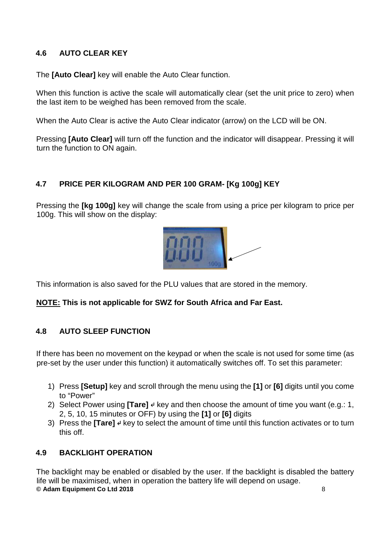#### **4.6 AUTO CLEAR KEY**

The **[Auto Clear]** key will enable the Auto Clear function.

When this function is active the scale will automatically clear (set the unit price to zero) when the last item to be weighed has been removed from the scale.

When the Auto Clear is active the Auto Clear indicator (arrow) on the LCD will be ON.

Pressing **[Auto Clear]** will turn off the function and the indicator will disappear. Pressing it will turn the function to ON again.

#### **4.7 PRICE PER KILOGRAM AND PER 100 GRAM- [Kg 100g] KEY**

Pressing the **[kg 100g]** key will change the scale from using a price per kilogram to price per 100g. This will show on the display:



This information is also saved for the PLU values that are stored in the memory.

#### **NOTE: This is not applicable for SWZ for South Africa and Far East.**

#### **4.8 AUTO SLEEP FUNCTION**

If there has been no movement on the keypad or when the scale is not used for some time (as pre-set by the user under this function) it automatically switches off. To set this parameter:

- 1) Press **[Setup]** key and scroll through the menu using the **[1]** or **[6]** digits until you come to "Power"
- 2) Select Power using **[Tare]** ↵ key and then choose the amount of time you want (e.g.: 1, 2, 5, 10, 15 minutes or OFF) by using the **[1]** or **[6]** digits
- 3) Press the **[Tare]** ↵ key to select the amount of time until this function activates or to turn this off.

#### **4.9 BACKLIGHT OPERATION**

**© Adam Equipment Co Ltd 2018** 8 The backlight may be enabled or disabled by the user. If the backlight is disabled the battery life will be maximised, when in operation the battery life will depend on usage.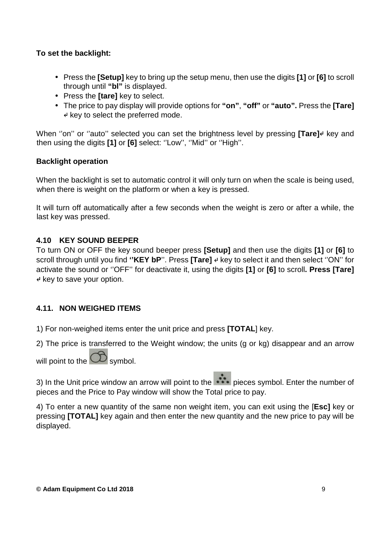#### **To set the backlight:**

- Press the **[Setup]** key to bring up the setup menu, then use the digits **[1]** or **[6]** to scroll through until **"bl"** is displayed.
- Press the **[tare]** key to select.
- The price to pay display will provide options for **"on"**, **"off"** or **"auto".** Press the **[Tare]**  ↵ key to select the preferred mode.

When "on" or "auto" selected you can set the brightness level by pressing [Tare]<sup>↓</sup> key and then using the digits **[1]** or **[6]** select: ''Low'', ''Mid'' or ''High''.

#### **Backlight operation**

When the backlight is set to automatic control it will only turn on when the scale is being used, when there is weight on the platform or when a key is pressed.

It will turn off automatically after a few seconds when the weight is zero or after a while, the last key was pressed.

#### **4.10 KEY SOUND BEEPER**

To turn ON or OFF the key sound beeper press **[Setup]** and then use the digits **[1]** or **[6]** to scroll through until you find **''KEY bP**''. Press **[Tare]** ↵ key to select it and then select ''ON'' for activate the sound or ''OFF'' for deactivate it, using the digits **[1]** or **[6]** to scroll**. Press [Tare]**  ↵ key to save your option.

#### **4.11. NON WEIGHED ITEMS**

1) For non-weighed items enter the unit price and press **[TOTAL**] key.

2) The price is transferred to the Weight window; the units (g or kg) disappear and an arrow

will point to the  $\omega$  symbol.

3) In the Unit price window an arrow will point to the pieces symbol. Enter the number of pieces and the Price to Pay window will show the Total price to pay.

4) To enter a new quantity of the same non weight item, you can exit using the [**Esc]** key or pressing **[TOTAL]** key again and then enter the new quantity and the new price to pay will be displayed.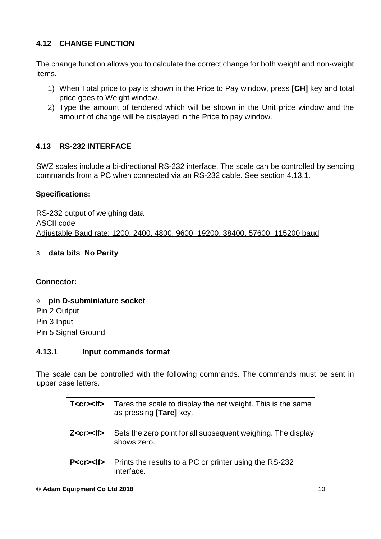#### **4.12 CHANGE FUNCTION**

The change function allows you to calculate the correct change for both weight and non-weight items.

- 1) When Total price to pay is shown in the Price to Pay window, press **[CH]** key and total price goes to Weight window.
- 2) Type the amount of tendered which will be shown in the Unit price window and the amount of change will be displayed in the Price to pay window.

#### **4.13 RS-232 INTERFACE**

SWZ scales include a bi-directional RS-232 interface. The scale can be controlled by sending commands from a PC when connected via an RS-232 cable. See section 4.13.1.

#### **Specifications:**

RS-232 output of weighing data ASCII code Adjustable Baud rate: 1200, 2400, 4800, 9600, 19200, 38400, 57600, 115200 baud

#### 8 **data bits No Parity**

#### **Connector:**

9 **pin D-subminiature socket**  Pin 2 Output Pin 3 Input Pin 5 Signal Ground

#### **4.13.1 Input commands format**

The scale can be controlled with the following commands. The commands must be sent in upper case letters.

| T <cr><lf></lf></cr> | Tares the scale to display the net weight. This is the same<br>as pressing [Tare] key. |
|----------------------|----------------------------------------------------------------------------------------|
| Z < c r > < <b>I</b> | Sets the zero point for all subsequent weighing. The display<br>shows zero.            |
| P <cr><lf></lf></cr> | Prints the results to a PC or printer using the RS-232<br>interface.                   |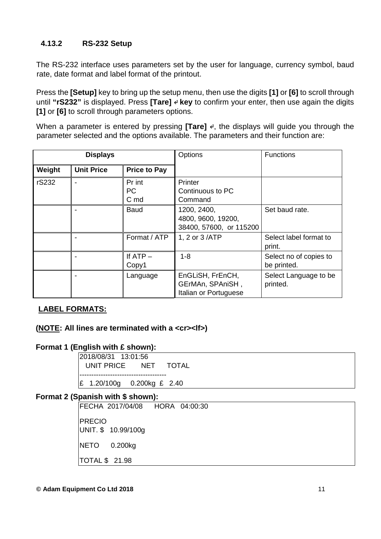#### **4.13.2 RS-232 Setup**

The RS-232 interface uses parameters set by the user for language, currency symbol, baud rate, date format and label format of the printout.

Press the **[Setup]** key to bring up the setup menu, then use the digits **[1]** or **[6]** to scroll through until "rS232" is displayed. Press **[Tare] ↵ key** to confirm your enter, then use again the digits **[1]** or **[6]** to scroll through parameters options.

When a parameter is entered by pressing **[Tare]** <sup>↓</sup>, the displays will guide you through the parameter selected and the options available. The parameters and their function are:

|        | <b>Displays</b>   |                             | Options                                                       | <b>Functions</b>                      |
|--------|-------------------|-----------------------------|---------------------------------------------------------------|---------------------------------------|
| Weight | <b>Unit Price</b> | <b>Price to Pay</b>         |                                                               |                                       |
| rS232  |                   | Pr int<br><b>PC</b><br>C md | Printer<br>Continuous to PC<br>Command                        |                                       |
|        |                   | <b>Baud</b>                 | 1200, 2400,<br>4800, 9600, 19200,<br>38400, 57600, or 115200  | Set baud rate.                        |
|        |                   | Format / ATP                | 1, 2 or 3 /ATP                                                | Select label format to<br>print.      |
|        |                   | If $ATP -$<br>Copy1         | $1 - 8$                                                       | Select no of copies to<br>be printed. |
|        |                   | Language                    | EnGLiSH, FrEnCH,<br>GErMAn, SPAniSH,<br>Italian or Portuguese | Select Language to be<br>printed.     |

#### **LABEL FORMATS:**

#### **(NOTE: All lines are terminated with a <cr><lf>)**

#### **Format 1 (English with £ shown):**

2018/08/31 13:01:56 UNIT PRICE NET TOTAL ------------------------------------- £ 1.20/100g 0.200kg £ 2.40

#### **Format 2 (Spanish with \$ shown):**

FECHA 2017/04/08 HORA 04:00:30 PRECIO UNIT. \$ 10.99/100g NETO 0.200kg TOTAL \$ 21.98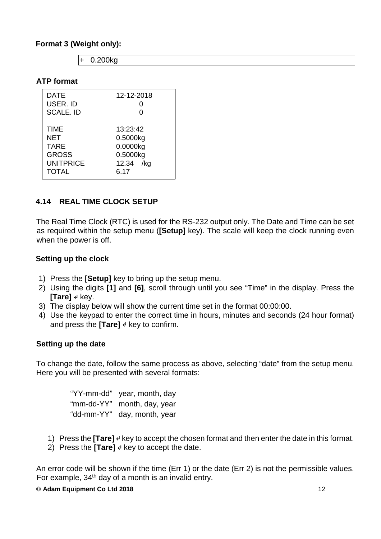#### **Format 3 (Weight only):**

| 0.200kg |
|---------|
|         |

#### **ATP format**

| <b>DATE</b>      | 12-12-2018   |
|------------------|--------------|
| USER. ID         | O            |
| <b>SCALE. ID</b> | ∩            |
|                  |              |
| <b>TIME</b>      | 13:23:42     |
| NET              | 0.5000kg     |
| <b>TARE</b>      | 0.0000kg     |
| <b>GROSS</b>     | 0.5000kg     |
| <b>UNITPRICE</b> | 12.34<br>/kg |
| <b>TOTAL</b>     | 6.17         |
|                  |              |

#### **4.14 REAL TIME CLOCK SETUP**

The Real Time Clock (RTC) is used for the RS-232 output only. The Date and Time can be set as required within the setup menu (**[Setup]** key). The scale will keep the clock running even when the power is off.

#### **Setting up the clock**

- 1) Press the **[Setup]** key to bring up the setup menu.
- 2) Using the digits **[1]** and **[6]**, scroll through until you see "Time" in the display. Press the **[Tare]** ↵ key.
- 3) The display below will show the current time set in the format 00:00:00.
- 4) Use the keypad to enter the correct time in hours, minutes and seconds (24 hour format) and press the **[Tare]** ♦ key to confirm.

#### **Setting up the date**

To change the date, follow the same process as above, selecting "date" from the setup menu. Here you will be presented with several formats:

| "YY-mm-dd" | year, month, day |
|------------|------------------|
| "mm-dd-YY" | month, day, year |
| "dd-mm-YY" | day, month, year |

- 1) Press the **[Tare]** ↵ key to accept the chosen format and then enter the date in this format.
- 2) Press the **[Tare]** ↵ key to accept the date.

An error code will be shown if the time (Err 1) or the date (Err 2) is not the permissible values. For example,  $34<sup>th</sup>$  day of a month is an invalid entry.

#### **© Adam Equipment Co Ltd 2018** 12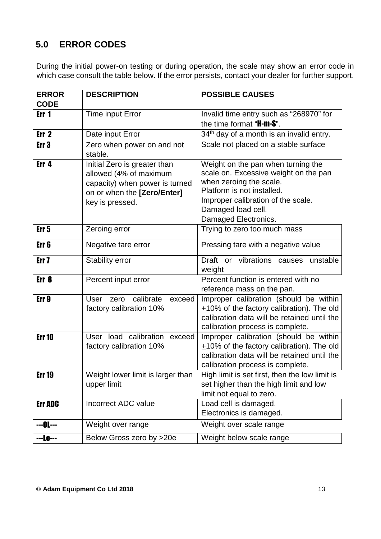## **5.0 ERROR CODES**

During the initial power-on testing or during operation, the scale may show an error code in which case consult the table below. If the error persists, contact your dealer for further support.

| <b>ERROR</b>     | <b>DESCRIPTION</b>                                                                                                                         | <b>POSSIBLE CAUSES</b>                                                                                                                                                                                                   |
|------------------|--------------------------------------------------------------------------------------------------------------------------------------------|--------------------------------------------------------------------------------------------------------------------------------------------------------------------------------------------------------------------------|
| <b>CODE</b>      |                                                                                                                                            |                                                                                                                                                                                                                          |
| Err <sub>1</sub> | Time input Error                                                                                                                           | Invalid time entry such as "268970" for                                                                                                                                                                                  |
|                  |                                                                                                                                            | the time format " <b>H-m-S</b> ".                                                                                                                                                                                        |
| Err <sub>2</sub> | Date input Error                                                                                                                           | 34 <sup>th</sup> day of a month is an invalid entry.                                                                                                                                                                     |
| Err3             | Zero when power on and not<br>stable.                                                                                                      | Scale not placed on a stable surface                                                                                                                                                                                     |
| Err <sub>4</sub> | Initial Zero is greater than<br>allowed (4% of maximum<br>capacity) when power is turned<br>on or when the [Zero/Enter]<br>key is pressed. | Weight on the pan when turning the<br>scale on. Excessive weight on the pan<br>when zeroing the scale.<br>Platform is not installed.<br>Improper calibration of the scale.<br>Damaged load cell.<br>Damaged Electronics. |
| Err <sub>5</sub> | Zeroing error                                                                                                                              | Trying to zero too much mass                                                                                                                                                                                             |
| Err 6            | Negative tare error                                                                                                                        | Pressing tare with a negative value                                                                                                                                                                                      |
| Err <sub>7</sub> | <b>Stability error</b>                                                                                                                     | or vibrations causes<br>Draft<br>unstable<br>weight                                                                                                                                                                      |
| Err <sub>8</sub> | Percent input error                                                                                                                        | Percent function is entered with no<br>reference mass on the pan.                                                                                                                                                        |
| Err <sub>9</sub> | calibrate<br>exceed<br><b>User</b><br>zero<br>factory calibration 10%                                                                      | Improper calibration (should be within<br>+10% of the factory calibration). The old<br>calibration data will be retained until the<br>calibration process is complete.                                                   |
| <b>Err 10</b>    | User load calibration exceed<br>factory calibration 10%                                                                                    | Improper calibration (should be within<br>+10% of the factory calibration). The old<br>calibration data will be retained until the<br>calibration process is complete.                                                   |
| <b>Err 19</b>    | Weight lower limit is larger than<br>upper limit                                                                                           | High limit is set first, then the low limit is<br>set higher than the high limit and low<br>limit not equal to zero.                                                                                                     |
| <b>Err ADC</b>   | <b>Incorrect ADC value</b>                                                                                                                 | Load cell is damaged.<br>Electronics is damaged.                                                                                                                                                                         |
| ---0L---         | Weight over range                                                                                                                          | Weight over scale range                                                                                                                                                                                                  |
| ---Lo---         | Below Gross zero by >20e                                                                                                                   | Weight below scale range                                                                                                                                                                                                 |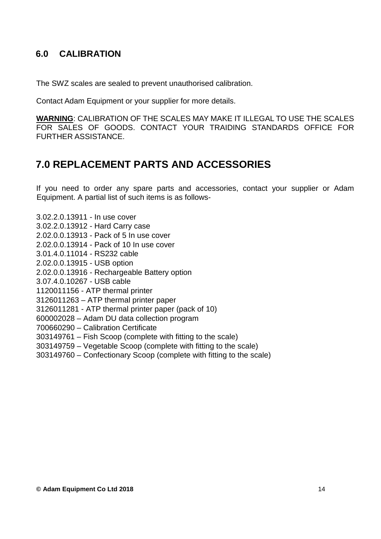## **6.0 CALIBRATION**

The SWZ scales are sealed to prevent unauthorised calibration.

Contact Adam Equipment or your supplier for more details.

**WARNING**: CALIBRATION OF THE SCALES MAY MAKE IT ILLEGAL TO USE THE SCALES FOR SALES OF GOODS. CONTACT YOUR TRAIDING STANDARDS OFFICE FOR FURTHER ASSISTANCE.

# **7.0 REPLACEMENT PARTS AND ACCESSORIES**

If you need to order any spare parts and accessories, contact your supplier or Adam Equipment. A partial list of such items is as follows-

3.02.2.0.13911 - In use cover

- 3.02.2.0.13912 Hard Carry case
- 2.02.0.0.13913 Pack of 5 In use cover
- 2.02.0.0.13914 Pack of 10 In use cover
- 3.01.4.0.11014 RS232 cable
- 2.02.0.0.13915 USB option
- 2.02.0.0.13916 Rechargeable Battery option
- 3.07.4.0.10267 USB cable
- 1120011156 ATP thermal printer
- 3126011263 ATP thermal printer paper
- 3126011281 ATP thermal printer paper (pack of 10)
- 600002028 Adam DU data collection program
- 700660290 Calibration Certificate
- 303149761 Fish Scoop (complete with fitting to the scale)
- 303149759 Vegetable Scoop (complete with fitting to the scale)
- 303149760 Confectionary Scoop (complete with fitting to the scale)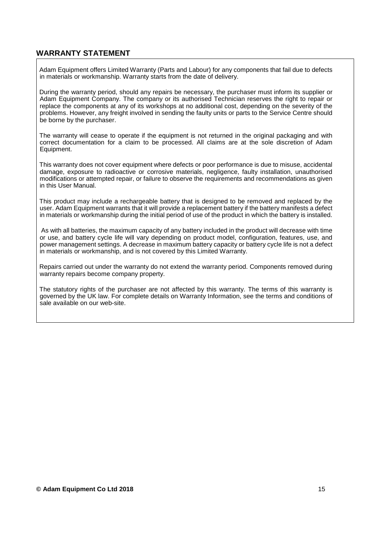#### **WARRANTY STATEMENT**

Adam Equipment offers Limited Warranty (Parts and Labour) for any components that fail due to defects in materials or workmanship. Warranty starts from the date of delivery.

During the warranty period, should any repairs be necessary, the purchaser must inform its supplier or Adam Equipment Company. The company or its authorised Technician reserves the right to repair or replace the components at any of its workshops at no additional cost, depending on the severity of the problems. However, any freight involved in sending the faulty units or parts to the Service Centre should be borne by the purchaser.

The warranty will cease to operate if the equipment is not returned in the original packaging and with correct documentation for a claim to be processed. All claims are at the sole discretion of Adam Equipment.

This warranty does not cover equipment where defects or poor performance is due to misuse, accidental damage, exposure to radioactive or corrosive materials, negligence, faulty installation, unauthorised modifications or attempted repair, or failure to observe the requirements and recommendations as given in this User Manual.

This product may include a rechargeable battery that is designed to be removed and replaced by the user. Adam Equipment warrants that it will provide a replacement battery if the battery manifests a defect in materials or workmanship during the initial period of use of the product in which the battery is installed.

 As with all batteries, the maximum capacity of any battery included in the product will decrease with time or use, and battery cycle life will vary depending on product model, configuration, features, use, and power management settings. A decrease in maximum battery capacity or battery cycle life is not a defect in materials or workmanship, and is not covered by this Limited Warranty.

Repairs carried out under the warranty do not extend the warranty period. Components removed during warranty repairs become company property.

The statutory rights of the purchaser are not affected by this warranty. The terms of this warranty is governed by the UK law. For complete details on Warranty Information, see the terms and conditions of sale available on our web-site.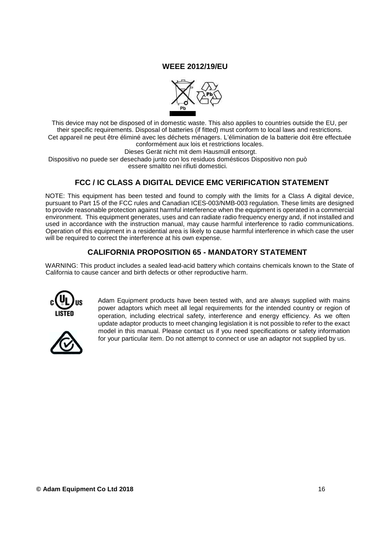#### **WEEE 2012/19/EU**



This device may not be disposed of in domestic waste. This also applies to countries outside the EU, per their specific requirements. Disposal of batteries (if fitted) must conform to local laws and restrictions. Cet appareil ne peut être éliminé avec les déchets ménagers. L'élimination de la batterie doit être effectuée conformément aux lois et restrictions locales.

Dieses Gerät nicht mit dem Hausmüll entsorgt.

Dispositivo no puede ser desechado junto con los residuos domésticos Dispositivo non può essere smaltito nei rifiuti domestici.

#### **FCC / IC CLASS A DIGITAL DEVICE EMC VERIFICATION STATEMENT**

NOTE: This equipment has been tested and found to comply with the limits for a Class A digital device, pursuant to Part 15 of the FCC rules and Canadian ICES-003/NMB-003 regulation. These limits are designed to provide reasonable protection against harmful interference when the equipment is operated in a commercial environment. This equipment generates, uses and can radiate radio frequency energy and, if not installed and used in accordance with the instruction manual, may cause harmful interference to radio communications. Operation of this equipment in a residential area is likely to cause harmful interference in which case the user will be required to correct the interference at his own expense.

#### **CALIFORNIA PROPOSITION 65 - MANDATORY STATEMENT**

WARNING: This product includes a sealed lead-acid battery which contains chemicals known to the State of California to cause cancer and birth defects or other reproductive harm.



Adam Equipment products have been tested with, and are always supplied with mains power adaptors which meet all legal requirements for the intended country or region of operation, including electrical safety, interference and energy efficiency. As we often update adaptor products to meet changing legislation it is not possible to refer to the exact model in this manual. Please contact us if you need specifications or safety information for your particular item. Do not attempt to connect or use an adaptor not supplied by us.